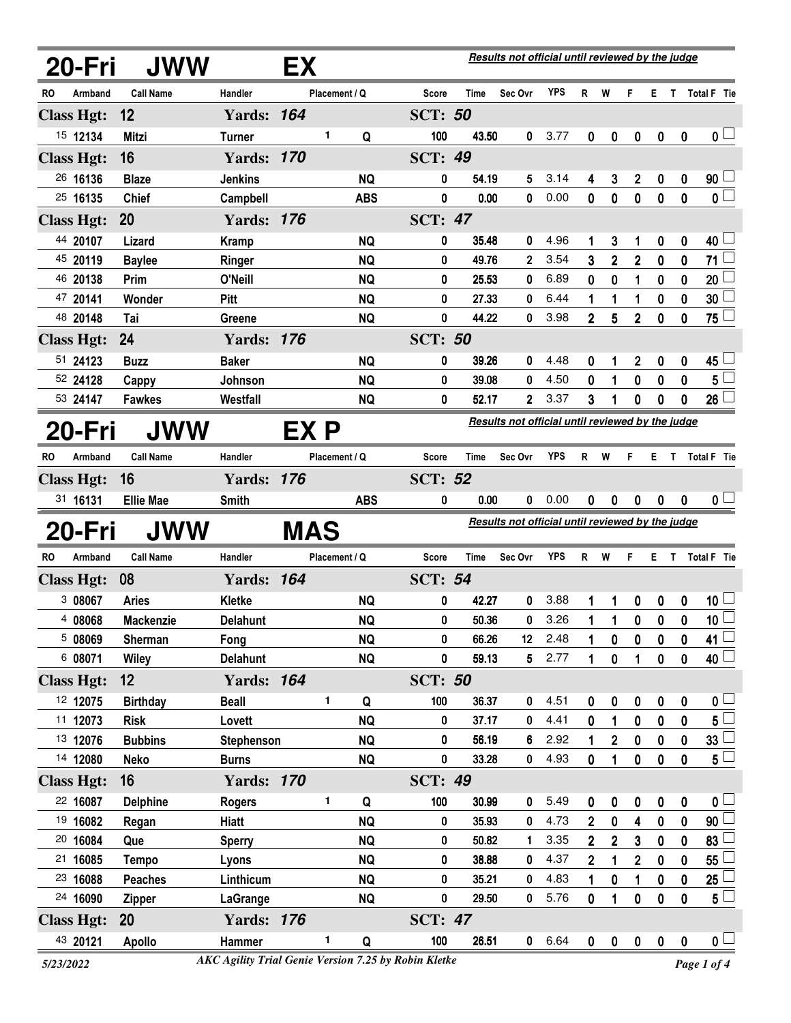|           | 20-Fri            | <b>JWW</b>       |                   | EX                                               |               |            | Results not official until reviewed by the judge |             |                                                  |            |                |                |              |           |                  |                           |
|-----------|-------------------|------------------|-------------------|--------------------------------------------------|---------------|------------|--------------------------------------------------|-------------|--------------------------------------------------|------------|----------------|----------------|--------------|-----------|------------------|---------------------------|
| RO        | Armband           | <b>Call Name</b> | Handler           |                                                  | Placement / Q |            | Score                                            | Time        | Sec Ovr                                          | YPS        | R              | W              | F            | E.        |                  | T Total F Tie             |
|           | <b>Class Hgt:</b> | 12               | <b>Yards: 164</b> |                                                  |               |            | <b>SCT: 50</b>                                   |             |                                                  |            |                |                |              |           |                  |                           |
|           | 15 12134          | <b>Mitzi</b>     | <b>Turner</b>     |                                                  | 1             | Q          | 100                                              | 43.50       | 0                                                | 3.77       | 0              | 0              | 0            | 0         | 0                | 0 <sub>1</sub>            |
|           | <b>Class Hgt:</b> | 16               | <b>Yards: 170</b> |                                                  |               |            | <b>SCT: 49</b>                                   |             |                                                  |            |                |                |              |           |                  |                           |
|           | 26 16136          | <b>Blaze</b>     | <b>Jenkins</b>    |                                                  |               | <b>NQ</b>  | 0                                                | 54.19       | 5                                                | 3.14       | 4              | 3              | $\mathbf{2}$ | 0         | 0                | 90 <sup>1</sup>           |
|           | 25 16135          | <b>Chief</b>     | Campbell          |                                                  |               | <b>ABS</b> | 0                                                | 0.00        | 0                                                | 0.00       | 0              | $\bf{0}$       | $\mathbf 0$  | $\bf{0}$  | $\mathbf{0}$     | $\overline{\mathfrak{o}}$ |
|           | <b>Class Hgt:</b> | 20               | <b>Yards: 176</b> |                                                  |               |            | <b>SCT: 47</b>                                   |             |                                                  |            |                |                |              |           |                  |                           |
|           | 44 20107          | Lizard           | <b>Kramp</b>      |                                                  |               | <b>NQ</b>  | 0                                                | 35.48       | 0                                                | 4.96       | 1              | 3              | 1            | 0         | 0                | 40 $\lfloor$              |
|           | 45 20119          | <b>Baylee</b>    | Ringer            |                                                  |               | <b>NQ</b>  | 0                                                | 49.76       | $\mathbf{2}$                                     | 3.54       | 3              | $\overline{2}$ | $\mathbf 2$  | 0         | 0                | 71                        |
|           | 46 20138          | Prim             | O'Neill           |                                                  |               | <b>NQ</b>  | 0                                                | 25.53       | 0                                                | 6.89       | 0              | 0              | 1            | 0         | 0                | 20 <sub>2</sub>           |
|           | 47 20141          | Wonder           | Pitt              |                                                  |               | <b>NQ</b>  | 0                                                | 27.33       | 0                                                | 6.44       | 1              | 1              | 1            | 0         | 0                | 30 <sub>2</sub>           |
|           | 48 20148          | Tai              | Greene            |                                                  |               | <b>NQ</b>  | 0                                                | 44.22       | 0                                                | 3.98       | $\overline{2}$ | 5              | $\mathbf 2$  | 0         | 0                | $75 -$                    |
|           | <b>Class Hgt:</b> | 24               | <b>Yards: 176</b> |                                                  |               |            | <b>SCT: 50</b>                                   |             |                                                  |            |                |                |              |           |                  |                           |
|           | 51 24123          | <b>Buzz</b>      | <b>Baker</b>      |                                                  |               | <b>NQ</b>  | 0                                                | 39.26       | 0                                                | 4.48       | 0              | 1              | 2            | 0         | 0                | 45                        |
|           | 52 24128          | Cappy            | Johnson           |                                                  |               | <b>NQ</b>  | 0                                                | 39.08       | 0                                                | 4.50       | 0              | 1              | 0            | 0         | 0                | $5\phantom{.0}$           |
|           | 53 24147          | <b>Fawkes</b>    | Westfall          |                                                  |               | <b>NQ</b>  | 0                                                | 52.17       | 2                                                | 3.37       | 3              | 1              | 0            | 0         | 0                | 26                        |
|           | 20-Fri            | <b>JWW</b>       |                   | Results not official until reviewed by the judge |               |            |                                                  |             |                                                  |            |                |                |              |           |                  |                           |
| RO        | Armband           | <b>Call Name</b> | Handler           |                                                  | Placement / Q |            | <b>Score</b>                                     | <b>Time</b> | Sec Ovr                                          | <b>YPS</b> | R              | W              | F            |           |                  | E T Total F Tie           |
|           | <b>Class Hgt:</b> | 16               | <b>Yards: 176</b> |                                                  |               |            | <b>SCT: 52</b>                                   |             |                                                  |            |                |                |              |           |                  |                           |
|           | 31 16131          | <b>Ellie Mae</b> | <b>Smith</b>      |                                                  |               | <b>ABS</b> | 0                                                | 0.00        | 0                                                | 0.00       | 0              | 0              | 0            | 0         | $\bf{0}$         | 0 <sub>1</sub>            |
|           | 20-Fri            | <b>JWW</b>       |                   | <b>MAS</b>                                       |               |            |                                                  |             | Results not official until reviewed by the judge |            |                |                |              |           |                  |                           |
| <b>RO</b> | Armband           | <b>Call Name</b> | Handler           |                                                  | Placement / Q |            | Score                                            | Time        | Sec Ovr                                          | <b>YPS</b> | $R$ W          |                | F.           |           |                  | E T Total F Tie           |
|           | <b>Class Hgt:</b> | 08               | <b>Yards: 164</b> |                                                  |               |            | <b>SCT: 54</b>                                   |             |                                                  |            |                |                |              |           |                  |                           |
|           | 3 08067           | <b>Aries</b>     | Kletke            |                                                  |               | <b>NQ</b>  | 0                                                | 42.27       | 0                                                | 3.88       | 1              | 1              | 0            | 0         | 0                | $10\perp$                 |
|           | 4 08068           | <b>Mackenzie</b> | Delahunt          |                                                  |               | <b>NQ</b>  | 0                                                | 50.36       | 0                                                | 3.26       | 1              | 1              | 0            | 0         | 0                | $\overline{10}$           |
|           | 5 08069           | Sherman          | Fong              |                                                  |               | <b>NQ</b>  | 0                                                | 66.26       | 12                                               | 2.48       | 1              | 0              | 0            | 0         | 0                | 41 $\lfloor$              |
|           | 6 08071           | <b>Wiley</b>     | <b>Delahunt</b>   |                                                  |               | <b>NQ</b>  | 0                                                | 59.13       | 5                                                | 2.77       | 1              | 0              | 1            | 0         | 0                | $40\perp$                 |
|           | <b>Class Hgt:</b> | 12               | <b>Yards: 164</b> |                                                  |               |            | <b>SCT: 50</b>                                   |             |                                                  |            |                |                |              |           |                  |                           |
|           | 12 12075          | <b>Birthday</b>  | <b>Beall</b>      |                                                  | 1             | Q          | 100                                              | 36.37       | 0                                                | 4.51       | 0              | 0              | 0            | $\pmb{0}$ | $\mathbf 0$      | 0 <sub>1</sub>            |
|           | 11 12073          | <b>Risk</b>      | Lovett            |                                                  |               | <b>NQ</b>  | 0                                                | 37.17       | 0                                                | 4.41       | 0              | 1              | 0            | 0         | 0                | $5^{\square}$             |
|           | 13 12076          | <b>Bubbins</b>   | Stephenson        |                                                  |               | <b>NQ</b>  | 0                                                | 56.19       | 6                                                | 2.92       | 1              | $\mathbf 2$    | 0            | 0         | 0                | 33 <sup>1</sup>           |
|           | 14 12080          | <b>Neko</b>      | <b>Burns</b>      |                                                  |               | <b>NQ</b>  | 0                                                | 33.28       | 0                                                | 4.93       | 0              | 1              | 0            | 0         | 0                | $5^{\perp}$               |
|           | <b>Class Hgt:</b> | 16               | <b>Yards: 170</b> |                                                  |               |            | <b>SCT: 49</b>                                   |             |                                                  |            |                |                |              |           |                  |                           |
|           | 22 16087          | <b>Delphine</b>  | <b>Rogers</b>     |                                                  | 1             | Q          | 100                                              | 30.99       | 0                                                | 5.49       | 0              | 0              | 0            | 0         | $\boldsymbol{0}$ | 0 L                       |
|           | 19 16082          | Regan            | Hiatt             |                                                  |               | <b>NQ</b>  | 0                                                | 35.93       | 0                                                | 4.73       | $\overline{2}$ | $\bf{0}$       | 4            | 0         | 0                | 90 <sup>1</sup>           |
|           | 20 16084          | Que              | <b>Sperry</b>     |                                                  |               | <b>NQ</b>  | 0                                                | 50.82       | 1                                                | 3.35       | $\overline{2}$ | $\mathbf{2}$   | 3            | 0         | $\bf{0}$         | 83                        |
|           | 21 16085          | <b>Tempo</b>     | Lyons             |                                                  |               | <b>NQ</b>  | 0                                                | 38.88       | 0                                                | 4.37       | $\mathbf 2$    | 1              | 2            | 0         | 0                | 55                        |
|           | 23 16088          | <b>Peaches</b>   | Linthicum         |                                                  |               | <b>NQ</b>  | 0                                                | 35.21       | 0                                                | 4.83       | 1              | $\bf{0}$       | 1            | 0         | $\boldsymbol{0}$ | 25                        |
|           | 24 16090          | <b>Zipper</b>    | <b>LaGrange</b>   |                                                  |               | <b>NQ</b>  | 0                                                | 29.50       | 0                                                | 5.76       | 0              | 1              | 0            | 0         | 0                | $5^{\perp}$               |
|           | <b>Class Hgt:</b> | 20               | <b>Yards: 176</b> |                                                  |               |            | <b>SCT: 47</b>                                   |             |                                                  |            |                |                |              |           |                  |                           |
|           | 43 20121          | <b>Apollo</b>    | Hammer            |                                                  | 1.            | Q          | 100                                              | 26.51       |                                                  | 0 6.64     | $\mathbf{0}$   | $\mathbf 0$    | $\mathbf 0$  | $\pmb{0}$ | $\boldsymbol{0}$ | 0 <sub>1</sub>            |

*<sup>5/23/2022</sup> Page 1 of 4 AKC Agility Trial Genie Version 7.25 by Robin Kletke*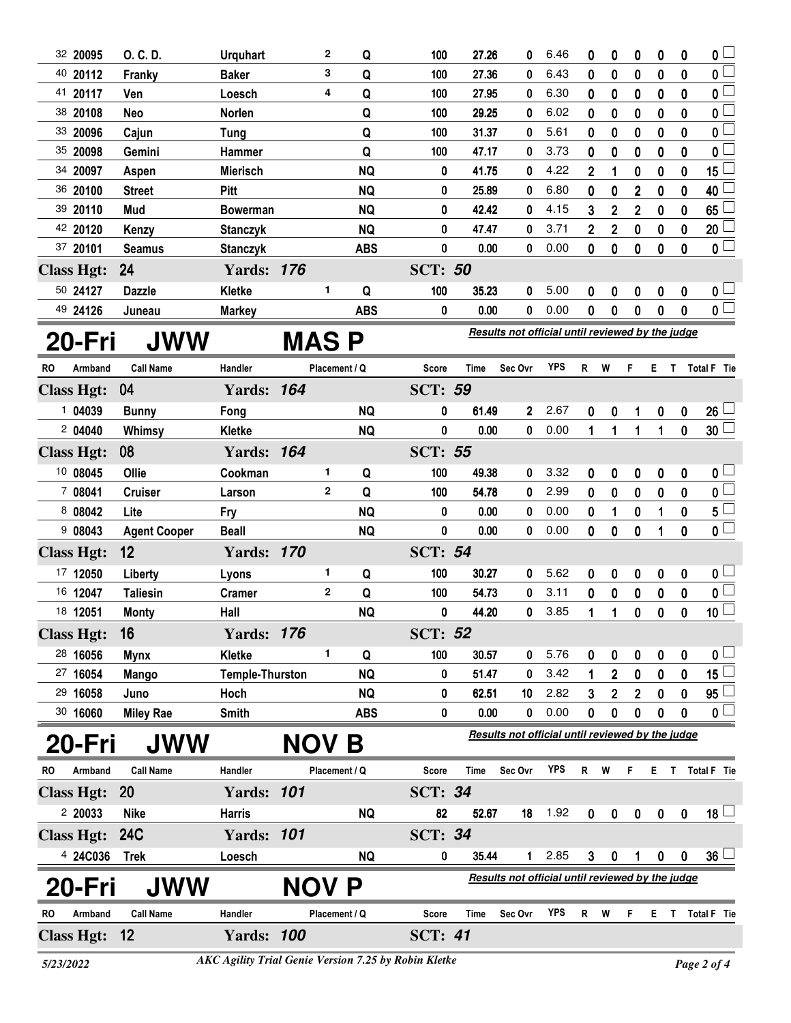|    | 32 20095          | O. C. D.            | <b>Urquhart</b>        |              | 2             | Q          | 100            | 27.26 | 0                                                | 6.46       | 0            | 0            | 0                | 0                | $\bf{0}$         | 0                                                                              |  |  |  |  |  |
|----|-------------------|---------------------|------------------------|--------------|---------------|------------|----------------|-------|--------------------------------------------------|------------|--------------|--------------|------------------|------------------|------------------|--------------------------------------------------------------------------------|--|--|--|--|--|
|    | 40 20112          | Franky              | <b>Baker</b>           |              | 3             | Q          | 100            | 27.36 | 0                                                | 6.43       | 0            | 0            | 0                | 0                | 0                | 0                                                                              |  |  |  |  |  |
|    | 41 20117          | Ven                 | Loesch                 |              | 4             | Q          | 100            | 27.95 | 0                                                | 6.30       | 0            | 0            | 0                | $\bf{0}$         | 0                | 0 L                                                                            |  |  |  |  |  |
|    | 38 20108          | Neo                 | Norlen                 |              |               | Q          | 100            | 29.25 | 0                                                | 6.02       | 0            | 0            | 0                | 0                | 0                | 0                                                                              |  |  |  |  |  |
|    | 33 20096          | Cajun               | <b>Tung</b>            |              |               | Q          | 100            | 31.37 | 0                                                | 5.61       | 0            | 0            | 0                | $\bf{0}$         | $\mathbf{0}$     | $\mathbf{0}$                                                                   |  |  |  |  |  |
|    | 35 20098          | Gemini              | Hammer                 |              |               | Q          | 100            | 47.17 | 0                                                | 3.73       | 0            | 0            | 0                | 0                | 0                | 0                                                                              |  |  |  |  |  |
|    | 34 20097          | Aspen               | <b>Mierisch</b>        |              |               | <b>NQ</b>  | 0              | 41.75 | 0                                                | 4.22       | 2            | 1            | 0                | 0                | 0                | 15                                                                             |  |  |  |  |  |
|    | 36 20100          | <b>Street</b>       | <b>Pitt</b>            |              |               | <b>NQ</b>  | 0              | 25.89 | 0                                                | 6.80       | 0            | 0            | $\mathbf{2}$     | 0                | 0                | 40                                                                             |  |  |  |  |  |
|    | 39 20110          | Mud                 | <b>Bowerman</b>        |              |               | <b>NQ</b>  | 0              | 42.42 | 0                                                | 4.15       | 3            | $\mathbf{2}$ | $\mathbf{2}$     | $\bf{0}$         | $\mathbf{0}$     | 65                                                                             |  |  |  |  |  |
|    | 42 20120          | Kenzy               | <b>Stanczyk</b>        |              |               | <b>NQ</b>  | 0              | 47.47 | 0                                                | 3.71       | 2            | $\mathbf 2$  | 0                | 0                | 0                | 20                                                                             |  |  |  |  |  |
|    | 37 20101          | <b>Seamus</b>       | <b>Stanczyk</b>        |              |               | <b>ABS</b> | 0              | 0.00  | 0                                                | 0.00       | 0            | 0            | 0                | $\bf{0}$         | 0                | 0 <sub>1</sub>                                                                 |  |  |  |  |  |
|    | <b>Class Hgt:</b> | 24                  | <b>Yards: 176</b>      |              |               |            | <b>SCT: 50</b> |       |                                                  |            |              |              |                  |                  |                  |                                                                                |  |  |  |  |  |
|    | 50 24127          | <b>Dazzle</b>       | Kletke                 |              | 1             | Q          | 100            | 35.23 | 0                                                | 5.00       | 0            | 0            | 0                | 0                | $\mathbf 0$      | $\mathfrak{o} \sqcup$                                                          |  |  |  |  |  |
|    | 49 24126          | Juneau              | <b>Markey</b>          |              |               | <b>ABS</b> | 0              | 0.00  | 0                                                | 0.00       | 0            | 0            | 0                | 0                | 0                | $\overline{\mathbf{0}}$                                                        |  |  |  |  |  |
|    | 20-Fri            | <b>JWW</b>          |                        | <b>MAS P</b> |               |            |                |       | Results not official until reviewed by the judge |            |              |              |                  |                  |                  |                                                                                |  |  |  |  |  |
| RO | Armband           | <b>Call Name</b>    | Handler                |              | Placement / Q |            | Score          | Time  | Sec Ovr                                          | <b>YPS</b> | $\mathsf{R}$ | W            | F                |                  |                  | E T Total F Tie                                                                |  |  |  |  |  |
|    | <b>Class Hgt:</b> | 04                  | <b>Yards: 164</b>      |              |               |            | <b>SCT: 59</b> |       |                                                  |            |              |              |                  |                  |                  |                                                                                |  |  |  |  |  |
|    | 104039            | <b>Bunny</b>        | Fong                   |              |               | <b>NQ</b>  | 0              | 61.49 | $\mathbf{2}$                                     | 2.67       | 0            | 0            | 1                | 0                | 0                | 26                                                                             |  |  |  |  |  |
|    | 204040            | Whimsy              | Kletke                 |              |               | <b>NQ</b>  | 0              | 0.00  | 0                                                | 0.00       | 1            | 1            | 1                | 1                | $\mathbf 0$      | $30\lceil$                                                                     |  |  |  |  |  |
|    | <b>Class Hgt:</b> | 08                  | <b>Yards: 164</b>      |              |               |            | <b>SCT: 55</b> |       |                                                  |            |              |              |                  |                  |                  |                                                                                |  |  |  |  |  |
|    | 10 08045          | Ollie               | Cookman                |              | 1             | Q          | 100            | 49.38 | 0                                                | 3.32       | 0            | 0            | 0                | 0                | 0                | 0 L                                                                            |  |  |  |  |  |
|    | 7 08041           | <b>Cruiser</b>      | Larson                 |              | $\mathbf{2}$  | Q          | 100            | 54.78 | 0                                                | 2.99       | 0            | 0            | 0                | 0                | 0                | 0 L                                                                            |  |  |  |  |  |
|    | 8 08042           | Lite                | Fry                    |              |               | <b>NQ</b>  | 0              | 0.00  | 0                                                | 0.00       | 0            | 1            | 0                | 1                | 0                | 5 <sup>5</sup>                                                                 |  |  |  |  |  |
|    | 908043            | <b>Agent Cooper</b> | <b>Beall</b>           |              |               | <b>NQ</b>  | 0              | 0.00  | 0                                                | 0.00       | 0            | 0            | 0                | 1                | 0                | 0 <sup>1</sup>                                                                 |  |  |  |  |  |
|    | <b>Class Hgt:</b> | 12                  | <b>Yards: 170</b>      |              |               |            | <b>SCT: 54</b> |       |                                                  |            |              |              |                  |                  |                  |                                                                                |  |  |  |  |  |
|    | 17 12050          | Liberty             | Lyons                  |              | 1             | Q          | 100            | 30.27 | 0                                                | 5.62       | 0            | 0            | 0                | 0                | 0                |                                                                                |  |  |  |  |  |
|    | 16 12047          | <b>Taliesin</b>     | <b>Cramer</b>          |              | $\mathbf{2}$  | Q          | 100            | 54.73 | 0                                                | 3.11       | 0            | 0            | 0                | 0                | 0                |                                                                                |  |  |  |  |  |
|    | 18 12051          | <b>Monty</b>        | Hall                   |              |               | <b>NQ</b>  | 0              | 44.20 | 0                                                | 3.85       | 1            | 1            | 0                | $\boldsymbol{0}$ | $\mathbf 0$      |                                                                                |  |  |  |  |  |
|    | <b>Class Hgt:</b> | 16                  | <b>Yards: 176</b>      |              |               |            | <b>SCT: 52</b> |       |                                                  |            |              |              |                  |                  |                  |                                                                                |  |  |  |  |  |
|    | 28 16056          | <b>Mynx</b>         | Kletke                 |              | 1             | Q          | 100            | 30.57 | 0                                                | 5.76       | 0            | 0            | 0                | 0                | 0                |                                                                                |  |  |  |  |  |
|    | 27 16054          | Mango               | <b>Temple-Thurston</b> |              |               | <b>NQ</b>  | 0              | 51.47 | 0                                                | 3.42       | 1            | $\mathbf 2$  | 0                | 0                | 0                |                                                                                |  |  |  |  |  |
|    | 29 16058          | Juno                | Hoch                   |              |               | <b>NQ</b>  | 0              | 62.51 | 10                                               | 2.82       | 3            | $\mathbf 2$  | $\boldsymbol{2}$ | 0                | 0                |                                                                                |  |  |  |  |  |
|    | 30 16060          | <b>Miley Rae</b>    | Smith                  |              |               | <b>ABS</b> | 0              | 0.00  | 0                                                | 0.00       | 0            | 0            | 0                | 0                | 0                |                                                                                |  |  |  |  |  |
|    |                   |                     |                        |              |               |            |                |       | Results not official until reviewed by the judge |            |              |              |                  |                  |                  |                                                                                |  |  |  |  |  |
|    | 20-Fri            | JWW                 |                        | <b>NOV</b>   |               | Β          |                |       |                                                  |            |              |              |                  |                  |                  | 0 <sub>1</sub><br>0<br>10 <sub>1</sub><br>$\mathbf{0}$ $\Box$<br>15<br>95<br>0 |  |  |  |  |  |
| RO | Armband           | <b>Call Name</b>    | Handler                |              | Placement / Q |            | Score          | Time  | Sec Ovr                                          | <b>YPS</b> | R.           | W            | F                | E.               | L                | Total F Tie                                                                    |  |  |  |  |  |
|    | <b>Class Hgt:</b> | <b>20</b>           | <b>Yards: 101</b>      |              |               |            | <b>SCT: 34</b> |       |                                                  |            |              |              |                  |                  |                  |                                                                                |  |  |  |  |  |
|    | 2 20033           | <b>Nike</b>         | <b>Harris</b>          |              |               | <b>NQ</b>  | 82             | 52.67 | 18                                               | 1.92       | 0            | 0            | 0                | 0                | $\boldsymbol{0}$ | $18 \Box$                                                                      |  |  |  |  |  |
|    | <b>Class Hgt:</b> | <b>24C</b>          | <b>Yards: 101</b>      |              |               |            | <b>SCT: 34</b> |       |                                                  |            |              |              |                  |                  |                  |                                                                                |  |  |  |  |  |
|    | 4 24C036          | <b>Trek</b>         | Loesch                 |              |               | <b>NQ</b>  | 0              | 35.44 | 1                                                | 2.85       | 3            | 0            | 1                | 0                | 0                | $36\lceil$                                                                     |  |  |  |  |  |
|    | 20-Fri            | <b>JWW</b>          |                        | NOV          |               | P          |                |       | Results not official until reviewed by the judge |            |              |              |                  |                  |                  |                                                                                |  |  |  |  |  |
| RO | Armband           | <b>Call Name</b>    | Handler                |              | Placement / Q |            | Score          | Time  | Sec Ovr                                          | <b>YPS</b> | R            | W            | F                | Е                | T                | Total F Tie                                                                    |  |  |  |  |  |
|    | <b>Class Hgt:</b> | 12                  | <b>Yards: 100</b>      |              |               |            | <b>SCT: 41</b> |       |                                                  |            |              |              |                  |                  |                  |                                                                                |  |  |  |  |  |
|    |                   |                     |                        |              |               |            |                |       |                                                  |            |              |              |                  |                  |                  |                                                                                |  |  |  |  |  |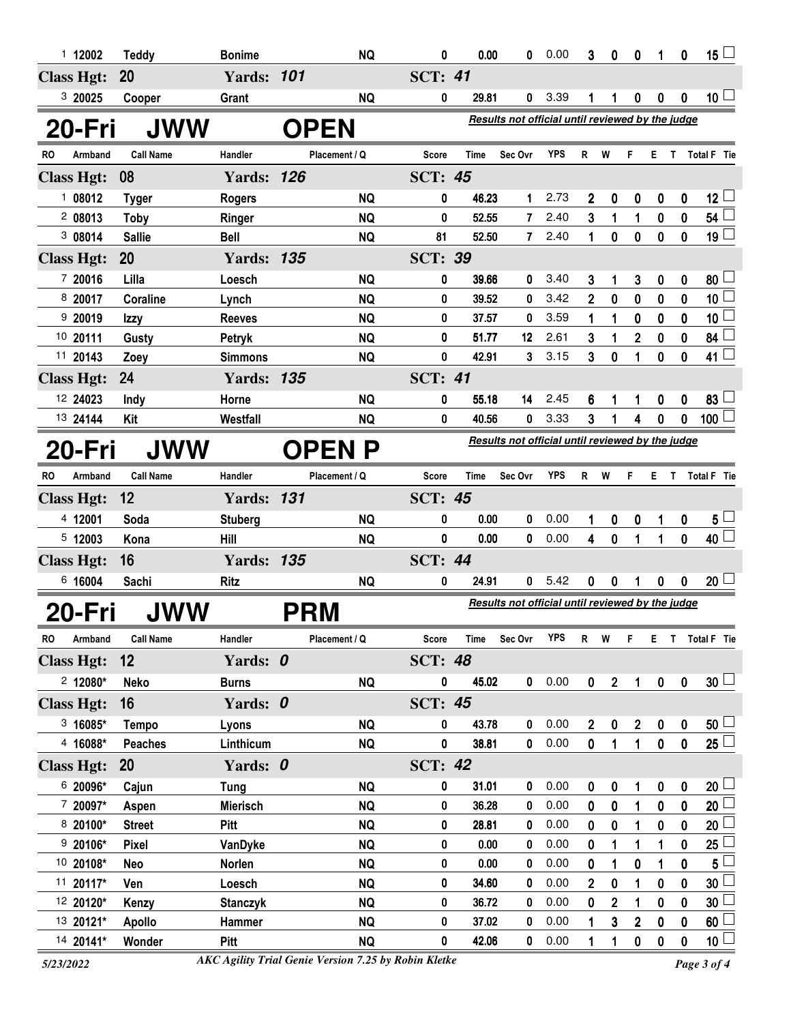| 1112002                                      |              | <b>Teddy</b>            | <b>Bonime</b>         |                                                                 | <b>NQ</b>              | 0              | 0.00           | 0                                                       | 0.00         | 3                | 0              | 0                          | 1                | 0           | 15 $\Box$                    |
|----------------------------------------------|--------------|-------------------------|-----------------------|-----------------------------------------------------------------|------------------------|----------------|----------------|---------------------------------------------------------|--------------|------------------|----------------|----------------------------|------------------|-------------|------------------------------|
| <b>Class Hgt:</b>                            | 20           |                         | <b>Yards: 101</b>     |                                                                 |                        | <b>SCT: 41</b> |                |                                                         |              |                  |                |                            |                  |             |                              |
| 3 20025                                      |              | Cooper                  | Grant                 |                                                                 | <b>NQ</b>              | 0              | 29.81          | 0                                                       | 3.39         | 1                | 1              | 0                          | 0                | 0           | 10 $\lfloor$                 |
| 20-Fri<br><b>JWW</b>                         |              |                         |                       | Results not official until reviewed by the judge<br><b>OPEN</b> |                        |                |                |                                                         |              |                  |                |                            |                  |             |                              |
| RO.<br>Armband                               |              | <b>Call Name</b>        | Handler               |                                                                 | Placement / Q          | <b>Score</b>   | Time           | Sec Ovr                                                 | <b>YPS</b>   | R                | W              | F                          | E T              |             | Total F Tie                  |
| <b>Class Hgt:</b>                            | 08           |                         | <b>Yards: 126</b>     |                                                                 |                        | <b>SCT: 45</b> |                |                                                         |              |                  |                |                            |                  |             |                              |
| 108012                                       |              | <b>Tyger</b>            | <b>Rogers</b>         |                                                                 | <b>NQ</b>              | 0              | 46.23          | 1                                                       | 2.73         | 2                | 0              | 0                          | 0                | 0           | 12 <sup>L</sup>              |
| 208013                                       | <b>Toby</b>  |                         | Ringer                |                                                                 | <b>NQ</b>              | 0              | 52.55          | 7                                                       | 2.40         | 3                | 1              | 1                          | 0                | 0           | $54\perp$                    |
| 3 08014                                      |              | <b>Sallie</b>           | <b>Bell</b>           |                                                                 | <b>NQ</b>              | 81             | 52.50          | $\overline{7}$                                          | 2.40         | 1                | $\mathbf 0$    | $\mathbf 0$                | $\mathbf 0$      | 0           | 19 <sup>1</sup>              |
| <b>Class Hgt:</b>                            | 20           |                         | <b>Yards: 135</b>     |                                                                 |                        | <b>SCT: 39</b> |                |                                                         |              |                  |                |                            |                  |             |                              |
| 7 20016                                      | Lilla        |                         | Loesch                |                                                                 | <b>NQ</b>              | 0              | 39.66          | 0                                                       | 3.40         | 3                | 1              | 3                          | 0                | 0           | 80 <sup>1</sup>              |
| 8 20017                                      |              | Coraline                | Lynch                 |                                                                 | <b>NQ</b>              | 0              | 39.52          | 0                                                       | 3.42         | $\mathbf 2$      | 0              | 0                          | 0                | 0           | 10 <sub>1</sub>              |
| 9 20019                                      | Izzy         |                         | <b>Reeves</b>         |                                                                 | <b>NQ</b>              | 0              | 37.57          | 0                                                       | 3.59         | 1                | 1              | 0                          | 0                | 0           | 10 <sub>1</sub>              |
| 10 20111                                     |              | Gusty                   | Petryk                |                                                                 | <b>NQ</b>              | 0              | 51.77          | 12                                                      | 2.61         | 3                | 1              | $\overline{\mathbf{c}}$    | 0                | 0           | 84                           |
| 11 20143                                     | Zoey         |                         | <b>Simmons</b>        |                                                                 | <b>NQ</b>              | 0              | 42.91          | 3                                                       | 3.15         | 3                | 0              | 1                          | 0                | 0           | 41 $\lfloor$                 |
| <b>Class Hgt:</b>                            | 24           |                         | <b>Yards: 135</b>     |                                                                 |                        | <b>SCT: 41</b> |                |                                                         |              |                  |                |                            |                  |             |                              |
| 12 24023                                     | Indy         |                         | Horne                 |                                                                 | <b>NQ</b>              | 0              | 55.18          | 14                                                      | 2.45         | 6                | 1              | 1                          | 0                | 0           | 83 <sup>1</sup>              |
| 13 24144                                     | Kit          |                         | Westfall              |                                                                 | <b>NQ</b>              | 0              | 40.56          | 0                                                       | 3.33         | 3                | 1              | 4                          | 0                | 0           | 100 <sup>1</sup>             |
| <b>JWW</b><br><b>OPEN P</b><br><b>20-Fri</b> |              |                         |                       |                                                                 |                        |                |                | Results not official until reviewed by the judge        |              |                  |                |                            |                  |             |                              |
| RO.<br>Armband                               |              | <b>Call Name</b>        | Handler               |                                                                 | Placement / Q          | <b>Score</b>   | <b>Time</b>    | Sec Ovr                                                 | <b>YPS</b>   | R.               | W              | F                          |                  |             | E T Total F Tie              |
| <b>Class Hgt:</b>                            | 12           |                         | <b>Yards: 131</b>     |                                                                 |                        | <b>SCT: 45</b> |                |                                                         |              |                  |                |                            |                  |             |                              |
| 4 12001                                      | Soda         |                         | <b>Stuberg</b>        |                                                                 | <b>NQ</b>              | 0              | 0.00           | 0                                                       | 0.00         | 1                | 0              | 0                          | 1                | 0           | $5\perp$                     |
| 5 12003                                      | Kona         |                         | Hill                  |                                                                 | <b>NQ</b>              | 0              | 0.00           | 0                                                       | 0.00         | 4                | $\bf{0}$       | 1                          | 1                | $\mathbf 0$ | $40\perp$                    |
| <b>Class Hgt:</b>                            | 16           |                         | <b>Yards: 135</b>     |                                                                 |                        | <b>SCT: 44</b> |                |                                                         |              |                  |                |                            |                  |             |                              |
| 6 16004                                      |              | Sachi                   | <b>Ritz</b>           |                                                                 | <b>NQ</b>              | 0              | 24.91          | 0                                                       | 5.42         | 0                | 0              |                            | 0                | 0           | 20 <sup>1</sup>              |
| 20-Fri                                       |              | JWW                     |                       |                                                                 | <b>PRM</b>             |                |                | <b>Results not official until reviewed by the judge</b> |              |                  |                |                            |                  |             |                              |
| Armband<br>RO                                |              | <b>Call Name</b>        | Handler               |                                                                 | Placement / Q          | <b>Score</b>   | <b>Time</b>    | Sec Ovr                                                 | <b>YPS</b>   | $R$ W            |                | F                          |                  |             | E T Total F Tie              |
| <b>Class Hgt:</b>                            | 12           |                         | Yards: 0              |                                                                 |                        | <b>SCT: 48</b> |                |                                                         |              |                  |                |                            |                  |             |                              |
| $2$ 12080*                                   | <b>Neko</b>  |                         | <b>Burns</b>          |                                                                 | <b>NQ</b>              | 0              | 45.02          | $\mathbf 0$                                             | 0.00         | $\mathbf 0$      | $\overline{2}$ | $\mathbf{1}$               | $\mathbf 0$      | $\mathbf 0$ | 30 <sup>1</sup>              |
| <b>Class Hgt:</b>                            | 16           |                         | Yards: 0              |                                                                 |                        | <b>SCT: 45</b> |                |                                                         |              |                  |                |                            |                  |             |                              |
| $3,16085*$                                   |              | Tempo                   | Lyons                 |                                                                 | <b>NQ</b>              | 0              | 43.78          | $\pmb{0}$                                               | 0.00         | $\boldsymbol{2}$ | 0              | $\boldsymbol{2}$           | $\boldsymbol{0}$ | $\mathbf 0$ | $50 -$                       |
| 4 16088*                                     |              | <b>Peaches</b>          | Linthicum             |                                                                 | <b>NQ</b>              | 0              | 38.81          | $\mathbf 0$                                             | 0.00         | 0                | 1              | 1                          | $\pmb{0}$        | $\pmb{0}$   | $25\Box$                     |
| <b>Class Hgt:</b>                            |              |                         |                       |                                                                 |                        |                |                |                                                         |              |                  |                |                            |                  |             |                              |
|                                              | 20           |                         | Yards: 0              |                                                                 |                        | <b>SCT: 42</b> |                |                                                         |              |                  |                |                            |                  |             |                              |
| 6 20096*                                     |              | Cajun                   | <b>Tung</b>           |                                                                 | <b>NQ</b>              | 0              | 31.01          | $\bf{0}$                                                | 0.00         | 0                | 0              | 1                          | $\boldsymbol{0}$ | 0           | $20\perp$                    |
| 7 20097*                                     |              | Aspen                   | <b>Mierisch</b>       |                                                                 | <b>NQ</b>              | 0              | 36.28          | 0                                                       | 0.00         | $\mathbf 0$      | 0              | 1                          | $\bf{0}$         | $\bf{0}$    | 20 <sup>2</sup>              |
| 8 20100*                                     |              | <b>Street</b>           | Pitt                  |                                                                 | <b>NQ</b>              | 0              | 28.81          | 0                                                       | 0.00         | 0                | 0              | 1                          | 0                | 0           | 20 <sub>2</sub>              |
| 9 20106*                                     | <b>Pixel</b> |                         | VanDyke               |                                                                 | <b>NQ</b>              | 0              | 0.00           | 0                                                       | 0.00         | 0                | 1              | 1                          | 1                | 0           | 25 <sup>1</sup>              |
| 10 20108*                                    | Neo          |                         | Norlen                |                                                                 | <b>NQ</b>              | 0              | 0.00           | 0                                                       | 0.00         | 0                | 1              | $\boldsymbol{0}$           | 1                | 0           | 5                            |
| 11 20117*                                    | Ven          |                         | Loesch                |                                                                 | <b>NQ</b>              | 0              | 34.60          | 0                                                       | 0.00         | $\mathbf{2}$     | $\bf{0}$       | 1                          | $\bf{0}$         | 0           | 30 <sub>2</sub>              |
| 12 20120*                                    |              | Kenzy                   | <b>Stanczyk</b>       |                                                                 | <b>NQ</b>              | 0              | 36.72          | 0                                                       | 0.00         | 0                | $\overline{2}$ | 1                          | 0                | 0           | 30                           |
| 13 20121*<br>14 20141*                       |              | <b>Apollo</b><br>Wonder | Hammer<br><b>Pitt</b> |                                                                 | <b>NQ</b><br><b>NQ</b> | 0              | 37.02<br>42.06 | 0<br>$\pmb{0}$                                          | 0.00<br>0.00 | 1                | 3              | $\mathbf 2$<br>$\mathbf 0$ | 0                | 0<br>0      | $60\perp$<br>$\overline{10}$ |